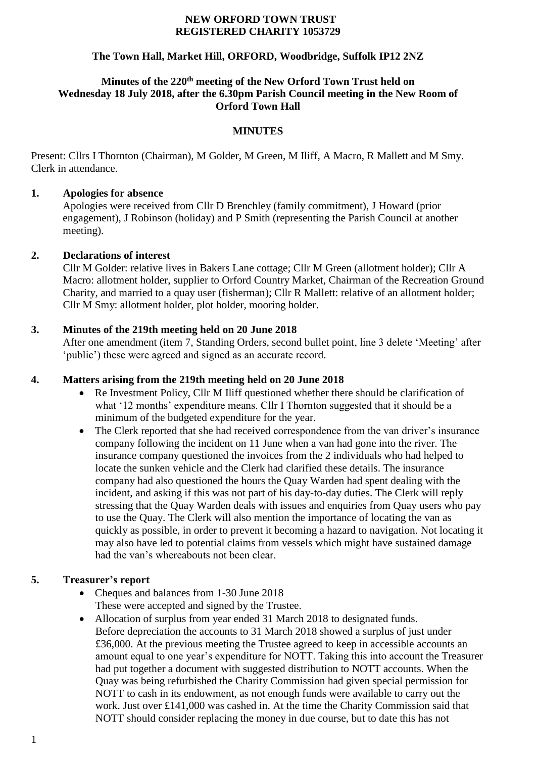#### **NEW ORFORD TOWN TRUST REGISTERED CHARITY 1053729**

## **The Town Hall, Market Hill, ORFORD, Woodbridge, Suffolk IP12 2NZ**

#### **Minutes of the 220th meeting of the New Orford Town Trust held on Wednesday 18 July 2018, after the 6.30pm Parish Council meeting in the New Room of Orford Town Hall**

### **MINUTES**

Present: Cllrs I Thornton (Chairman), M Golder, M Green, M Iliff, A Macro, R Mallett and M Smy. Clerk in attendance.

### **1. Apologies for absence**

Apologies were received from Cllr D Brenchley (family commitment), J Howard (prior engagement), J Robinson (holiday) and P Smith (representing the Parish Council at another meeting).

## **2. Declarations of interest**

Cllr M Golder: relative lives in Bakers Lane cottage; Cllr M Green (allotment holder); Cllr A Macro: allotment holder, supplier to Orford Country Market, Chairman of the Recreation Ground Charity, and married to a quay user (fisherman); Cllr R Mallett: relative of an allotment holder; Cllr M Smy: allotment holder, plot holder, mooring holder.

## **3. Minutes of the 219th meeting held on 20 June 2018**

After one amendment (item 7, Standing Orders, second bullet point, line 3 delete 'Meeting' after 'public') these were agreed and signed as an accurate record.

## **4. Matters arising from the 219th meeting held on 20 June 2018**

- Re Investment Policy, Cllr M Iliff questioned whether there should be clarification of what '12 months' expenditure means. Cllr I Thornton suggested that it should be a minimum of the budgeted expenditure for the year.
- The Clerk reported that she had received correspondence from the van driver's insurance company following the incident on 11 June when a van had gone into the river. The insurance company questioned the invoices from the 2 individuals who had helped to locate the sunken vehicle and the Clerk had clarified these details. The insurance company had also questioned the hours the Quay Warden had spent dealing with the incident, and asking if this was not part of his day-to-day duties. The Clerk will reply stressing that the Quay Warden deals with issues and enquiries from Quay users who pay to use the Quay. The Clerk will also mention the importance of locating the van as quickly as possible, in order to prevent it becoming a hazard to navigation. Not locating it may also have led to potential claims from vessels which might have sustained damage had the van's whereabouts not been clear.

## **5. Treasurer's report**

- Cheques and balances from 1-30 June 2018 These were accepted and signed by the Trustee.
- Allocation of surplus from year ended 31 March 2018 to designated funds. Before depreciation the accounts to 31 March 2018 showed a surplus of just under £36,000. At the previous meeting the Trustee agreed to keep in accessible accounts an amount equal to one year's expenditure for NOTT. Taking this into account the Treasurer had put together a document with suggested distribution to NOTT accounts. When the Quay was being refurbished the Charity Commission had given special permission for NOTT to cash in its endowment, as not enough funds were available to carry out the work. Just over £141,000 was cashed in. At the time the Charity Commission said that NOTT should consider replacing the money in due course, but to date this has not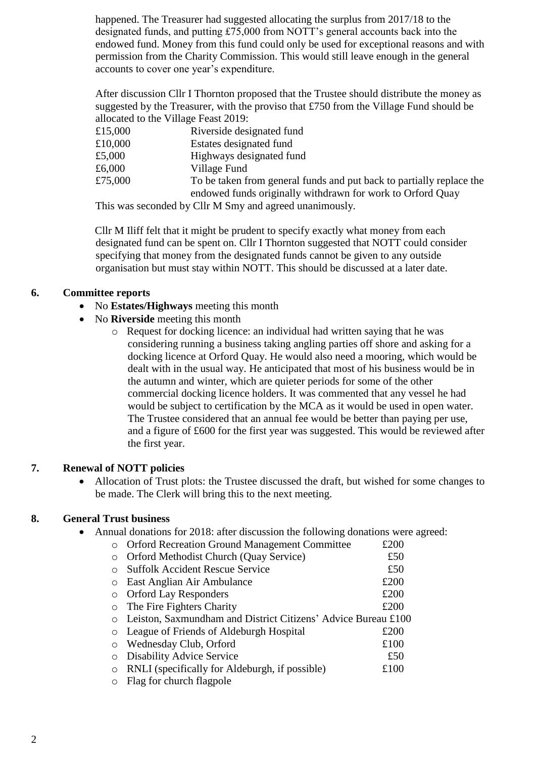happened. The Treasurer had suggested allocating the surplus from 2017/18 to the designated funds, and putting £75,000 from NOTT's general accounts back into the endowed fund. Money from this fund could only be used for exceptional reasons and with permission from the Charity Commission. This would still leave enough in the general accounts to cover one year's expenditure.

After discussion Cllr I Thornton proposed that the Trustee should distribute the money as suggested by the Treasurer, with the proviso that £750 from the Village Fund should be allocated to the Village Feast 2019:

| £15,000 | Riverside designated fund                                            |
|---------|----------------------------------------------------------------------|
| £10,000 | Estates designated fund                                              |
| £5,000  | Highways designated fund                                             |
| £6,000  | Village Fund                                                         |
| £75,000 | To be taken from general funds and put back to partially replace the |
|         | endowed funds originally withdrawn for work to Orford Quay           |

This was seconded by Cllr M Smy and agreed unanimously.

Cllr M Iliff felt that it might be prudent to specify exactly what money from each designated fund can be spent on. Cllr I Thornton suggested that NOTT could consider specifying that money from the designated funds cannot be given to any outside organisation but must stay within NOTT. This should be discussed at a later date.

#### **6. Committee reports**

- No **Estates/Highways** meeting this month
- No **Riverside** meeting this month
	- o Request for docking licence: an individual had written saying that he was considering running a business taking angling parties off shore and asking for a docking licence at Orford Quay. He would also need a mooring, which would be dealt with in the usual way. He anticipated that most of his business would be in the autumn and winter, which are quieter periods for some of the other commercial docking licence holders. It was commented that any vessel he had would be subject to certification by the MCA as it would be used in open water. The Trustee considered that an annual fee would be better than paying per use, and a figure of £600 for the first year was suggested. This would be reviewed after the first year.

#### **7. Renewal of NOTT policies**

• Allocation of Trust plots: the Trustee discussed the draft, but wished for some changes to be made. The Clerk will bring this to the next meeting.

#### **8. General Trust business**

• Annual donations for 2018: after discussion the following donations were agreed:

|         | <b>Orford Recreation Ground Management Committee</b>          | £200 |
|---------|---------------------------------------------------------------|------|
| $\circ$ | Orford Methodist Church (Quay Service)                        | £50  |
| ∩       | <b>Suffolk Accident Rescue Service</b>                        | £50  |
| $\circ$ | East Anglian Air Ambulance                                    | £200 |
| $\circ$ | <b>Orford Lay Responders</b>                                  | £200 |
| $\circ$ | The Fire Fighters Charity                                     | £200 |
| $\circ$ | Leiston, Saxmundham and District Citizens' Advice Bureau £100 |      |
| $\circ$ | League of Friends of Aldeburgh Hospital                       | £200 |
| $\circ$ | Wednesday Club, Orford                                        | £100 |
| $\circ$ | <b>Disability Advice Service</b>                              | £50  |
| $\circ$ | RNLI (specifically for Aldeburgh, if possible)                | £100 |
| $\circ$ | Flag for church flagpole                                      |      |